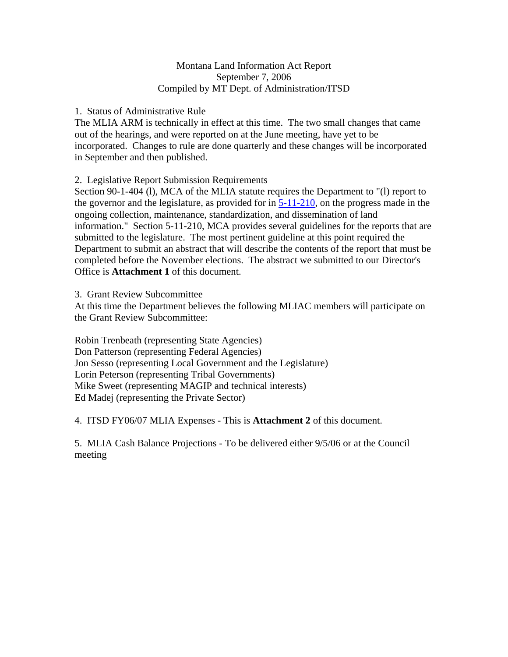### Montana Land Information Act Report September 7, 2006 Compiled by MT Dept. of Administration/ITSD

### 1. Status of Administrative Rule

The MLIA ARM is technically in effect at this time. The two small changes that came out of the hearings, and were reported on at the June meeting, have yet to be incorporated. Changes to rule are done quarterly and these changes will be incorporated in September and then published.

2. Legislative Report Submission Requirements

Section 90-1-404 (l), MCA of the MLIA statute requires the Department to "(l) report to the governor and the legislature, as provided for in 5-11-210, on the progress made in the ongoing collection, maintenance, standardization, and dissemination of land information." Section 5-11-210, MCA provides several guidelines for the reports that are submitted to the legislature. The most pertinent guideline at this point required the Department to submit an abstract that will describe the contents of the report that must be completed before the November elections. The abstract we submitted to our Director's Office is **Attachment 1** of this document.

3. Grant Review Subcommittee

At this time the Department believes the following MLIAC members will participate on the Grant Review Subcommittee:

Robin Trenbeath (representing State Agencies) Don Patterson (representing Federal Agencies) Jon Sesso (representing Local Government and the Legislature) Lorin Peterson (representing Tribal Governments) Mike Sweet (representing MAGIP and technical interests) Ed Madej (representing the Private Sector)

4. ITSD FY06/07 MLIA Expenses - This is **Attachment 2** of this document.

5. MLIA Cash Balance Projections - To be delivered either 9/5/06 or at the Council meeting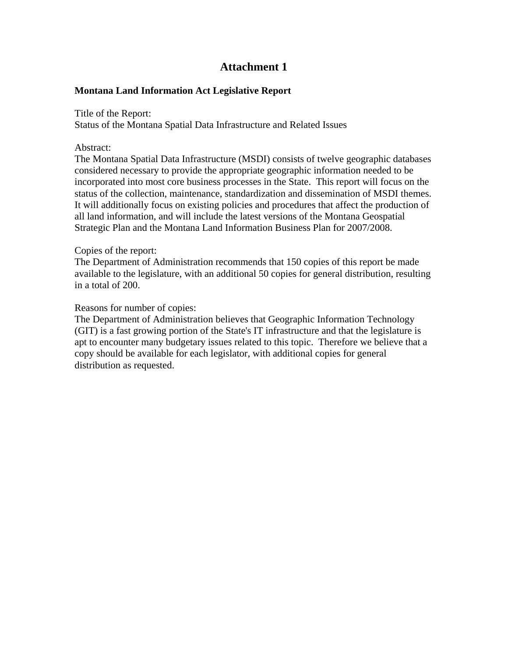## **Attachment 1**

## **Montana Land Information Act Legislative Report**

Title of the Report:

Status of the Montana Spatial Data Infrastructure and Related Issues

### Abstract:

The Montana Spatial Data Infrastructure (MSDI) consists of twelve geographic databases considered necessary to provide the appropriate geographic information needed to be incorporated into most core business processes in the State. This report will focus on the status of the collection, maintenance, standardization and dissemination of MSDI themes. It will additionally focus on existing policies and procedures that affect the production of all land information, and will include the latest versions of the Montana Geospatial Strategic Plan and the Montana Land Information Business Plan for 2007/2008.

### Copies of the report:

The Department of Administration recommends that 150 copies of this report be made available to the legislature, with an additional 50 copies for general distribution, resulting in a total of 200.

## Reasons for number of copies:

The Department of Administration believes that Geographic Information Technology (GIT) is a fast growing portion of the State's IT infrastructure and that the legislature is apt to encounter many budgetary issues related to this topic. Therefore we believe that a copy should be available for each legislator, with additional copies for general distribution as requested.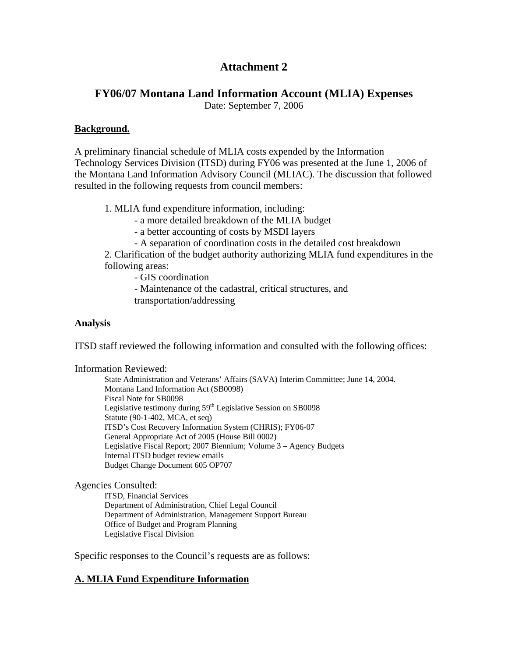# **Attachment 2**

## **FY06/07 Montana Land Information Account (MLIA) Expenses**

Date: September 7, 2006

### **Background.**

A preliminary financial schedule of MLIA costs expended by the Information Technology Services Division (ITSD) during FY06 was presented at the June 1, 2006 of the Montana Land Information Advisory Council (MLIAC). The discussion that followed resulted in the following requests from council members:

1. MLIA fund expenditure information, including:

- a more detailed breakdown of the MLIA budget

- a better accounting of costs by MSDI layers

- A separation of coordination costs in the detailed cost breakdown

2. Clarification of the budget authority authorizing MLIA fund expenditures in the following areas:

- GIS coordination

- Maintenance of the cadastral, critical structures, and

transportation/addressing

## **Analysis**

ITSD staff reviewed the following information and consulted with the following offices:

### Information Reviewed:

State Administration and Veterans' Affairs (SAVA) Interim Committee; June 14, 2004. Montana Land Information Act (SB0098) Fiscal Note for SB0098 Legislative testimony during  $59<sup>th</sup>$  Legislative Session on SB0098 Statute (90-1-402, MCA, et seq) ITSD's Cost Recovery Information System (CHRIS); FY06-07 General Appropriate Act of 2005 (House Bill 0002) Legislative Fiscal Report; 2007 Biennium; Volume 3 – Agency Budgets Internal ITSD budget review emails Budget Change Document 605 OP707

Agencies Consulted:

 ITSD, Financial Services Department of Administration, Chief Legal Council Department of Administration, Management Support Bureau Office of Budget and Program Planning Legislative Fiscal Division

Specific responses to the Council's requests are as follows:

## **A. MLIA Fund Expenditure Information**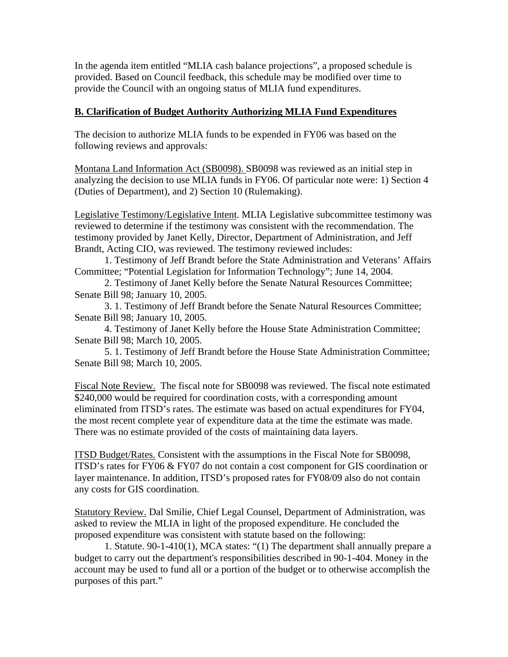In the agenda item entitled "MLIA cash balance projections", a proposed schedule is provided. Based on Council feedback, this schedule may be modified over time to provide the Council with an ongoing status of MLIA fund expenditures.

## **B. Clarification of Budget Authority Authorizing MLIA Fund Expenditures**

The decision to authorize MLIA funds to be expended in FY06 was based on the following reviews and approvals:

Montana Land Information Act (SB0098). SB0098 was reviewed as an initial step in analyzing the decision to use MLIA funds in FY06. Of particular note were: 1) Section 4 (Duties of Department), and 2) Section 10 (Rulemaking).

Legislative Testimony/Legislative Intent. MLIA Legislative subcommittee testimony was reviewed to determine if the testimony was consistent with the recommendation. The testimony provided by Janet Kelly, Director, Department of Administration, and Jeff Brandt, Acting CIO, was reviewed. The testimony reviewed includes:

 1. Testimony of Jeff Brandt before the State Administration and Veterans' Affairs Committee; "Potential Legislation for Information Technology"; June 14, 2004.

2. Testimony of Janet Kelly before the Senate Natural Resources Committee; Senate Bill 98; January 10, 2005.

 3. 1. Testimony of Jeff Brandt before the Senate Natural Resources Committee; Senate Bill 98; January 10, 2005.

 4. Testimony of Janet Kelly before the House State Administration Committee; Senate Bill 98; March 10, 2005.

 5. 1. Testimony of Jeff Brandt before the House State Administration Committee; Senate Bill 98; March 10, 2005.

Fiscal Note Review. The fiscal note for SB0098 was reviewed. The fiscal note estimated \$240,000 would be required for coordination costs, with a corresponding amount eliminated from ITSD's rates. The estimate was based on actual expenditures for FY04, the most recent complete year of expenditure data at the time the estimate was made. There was no estimate provided of the costs of maintaining data layers.

ITSD Budget/Rates. Consistent with the assumptions in the Fiscal Note for SB0098, ITSD's rates for FY06 & FY07 do not contain a cost component for GIS coordination or layer maintenance. In addition, ITSD's proposed rates for FY08/09 also do not contain any costs for GIS coordination.

Statutory Review. Dal Smilie, Chief Legal Counsel, Department of Administration, was asked to review the MLIA in light of the proposed expenditure. He concluded the proposed expenditure was consistent with statute based on the following:

 1. Statute. 90-1-410(1), MCA states: "(1) The department shall annually prepare a budget to carry out the department's responsibilities described in 90-1-404. Money in the account may be used to fund all or a portion of the budget or to otherwise accomplish the purposes of this part."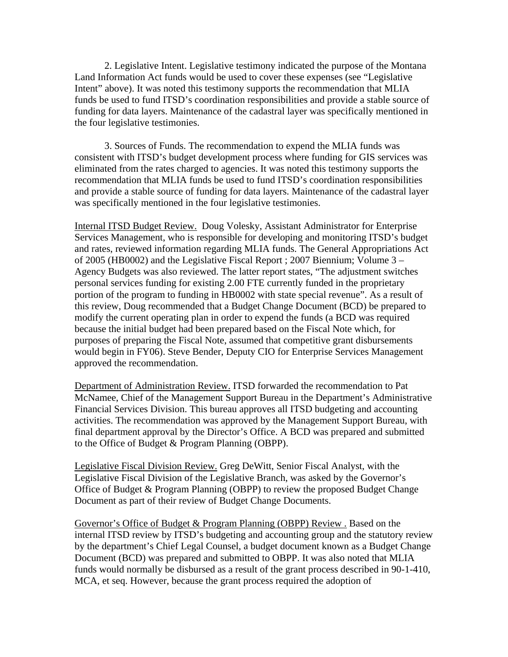2. Legislative Intent. Legislative testimony indicated the purpose of the Montana Land Information Act funds would be used to cover these expenses (see "Legislative Intent" above). It was noted this testimony supports the recommendation that MLIA funds be used to fund ITSD's coordination responsibilities and provide a stable source of funding for data layers. Maintenance of the cadastral layer was specifically mentioned in the four legislative testimonies.

 3. Sources of Funds. The recommendation to expend the MLIA funds was consistent with ITSD's budget development process where funding for GIS services was eliminated from the rates charged to agencies. It was noted this testimony supports the recommendation that MLIA funds be used to fund ITSD's coordination responsibilities and provide a stable source of funding for data layers. Maintenance of the cadastral layer was specifically mentioned in the four legislative testimonies.

Internal ITSD Budget Review. Doug Volesky, Assistant Administrator for Enterprise Services Management, who is responsible for developing and monitoring ITSD's budget and rates, reviewed information regarding MLIA funds. The General Appropriations Act of 2005 (HB0002) and the Legislative Fiscal Report ; 2007 Biennium; Volume 3 – Agency Budgets was also reviewed. The latter report states, "The adjustment switches personal services funding for existing 2.00 FTE currently funded in the proprietary portion of the program to funding in HB0002 with state special revenue". As a result of this review, Doug recommended that a Budget Change Document (BCD) be prepared to modify the current operating plan in order to expend the funds (a BCD was required because the initial budget had been prepared based on the Fiscal Note which, for purposes of preparing the Fiscal Note, assumed that competitive grant disbursements would begin in FY06). Steve Bender, Deputy CIO for Enterprise Services Management approved the recommendation.

Department of Administration Review. ITSD forwarded the recommendation to Pat McNamee, Chief of the Management Support Bureau in the Department's Administrative Financial Services Division. This bureau approves all ITSD budgeting and accounting activities. The recommendation was approved by the Management Support Bureau, with final department approval by the Director's Office. A BCD was prepared and submitted to the Office of Budget & Program Planning (OBPP).

Legislative Fiscal Division Review. Greg DeWitt, Senior Fiscal Analyst, with the Legislative Fiscal Division of the Legislative Branch, was asked by the Governor's Office of Budget & Program Planning (OBPP) to review the proposed Budget Change Document as part of their review of Budget Change Documents.

Governor's Office of Budget & Program Planning (OBPP) Review . Based on the internal ITSD review by ITSD's budgeting and accounting group and the statutory review by the department's Chief Legal Counsel, a budget document known as a Budget Change Document (BCD) was prepared and submitted to OBPP. It was also noted that MLIA funds would normally be disbursed as a result of the grant process described in 90-1-410, MCA, et seq. However, because the grant process required the adoption of